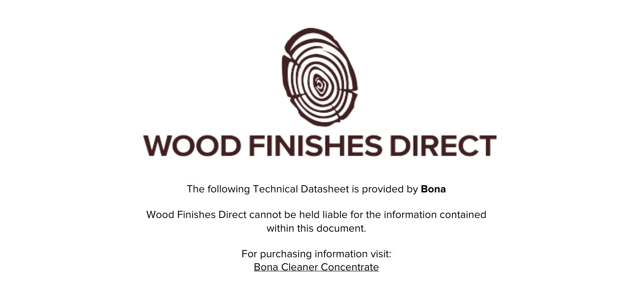

The following Technical Datasheet is provided by **Bona**

Wood Finishes Direct cannot be held liable for the information contained within this document

> For purchasing information visit: [Bona Cleaner Concentrate](https://www.wood-finishes-direct.com/product/bona-floor-cleaner-concentrate)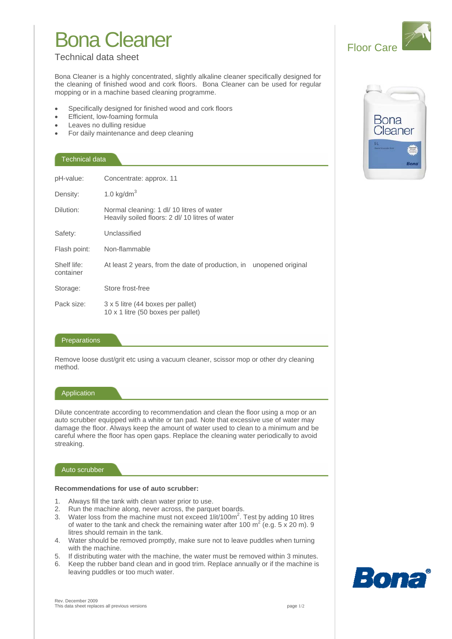# **Bona Cleaner**

## **Technical data sheet**

Bona Cleaner is a highly concentrated, slightly alkaline cleaner specifically designed for the cleaning of finished wood and cork floors. Bona Cleaner can be used for regular mopping or in a machine based cleaning programme.

- Specifically designed for finished wood and cork floors
- Efficient, low-foaming formula
- Leaves no dulling residue
- For daily maintenance and deep cleaning

## **Technical data**

| pH-value:                | Concentrate: approx. 11                                                                      |
|--------------------------|----------------------------------------------------------------------------------------------|
| Density:                 | 1.0 $kg/dm3$                                                                                 |
| Dilution:                | Normal cleaning: 1 dl/ 10 litres of water<br>Heavily soiled floors: 2 dl/ 10 litres of water |
| Safety:                  | Unclassified                                                                                 |
| Flash point:             | Non-flammable                                                                                |
| Shelf life:<br>container | At least 2 years, from the date of production, in unopened original                          |
| Storage:                 | Store frost-free                                                                             |
| Pack size:               | 3 x 5 litre (44 boxes per pallet)<br>10 x 1 litre (50 boxes per pallet)                      |

### Preparations

Remove loose dust/grit etc using a vacuum cleaner, scissor mop or other dry cleaning method.

### Application

Dilute concentrate according to recommendation and clean the floor using a mop or an auto scrubber equipped with a white or tan pad. Note that excessive use of water may damage the floor. Always keep the amount of water used to clean to a minimum and be careful where the floor has open gaps. Replace the cleaning water periodically to avoid streaking.

#### Auto scrubber

#### Recommendations for use of auto scrubber:

- 1. Always fill the tank with clean water prior to use.
- 2. Run the machine along, never across, the parquet boards.
- 3. Water loss from the machine must not exceed 1lit/100m<sup>2</sup>. Test by adding 10 litres of water to the tank and check the remaining water after 100  $m^2$  (e.g. 5 x 20 m). 9 litres should remain in the tank.
- 4. Water should be removed promptly, make sure not to leave puddles when turning with the machine.
- 5. If distributing water with the machine, the water must be removed within 3 minutes.
- 6. Keep the rubber band clean and in good trim. Replace annually or if the machine is leaving puddles or too much water.





Bona